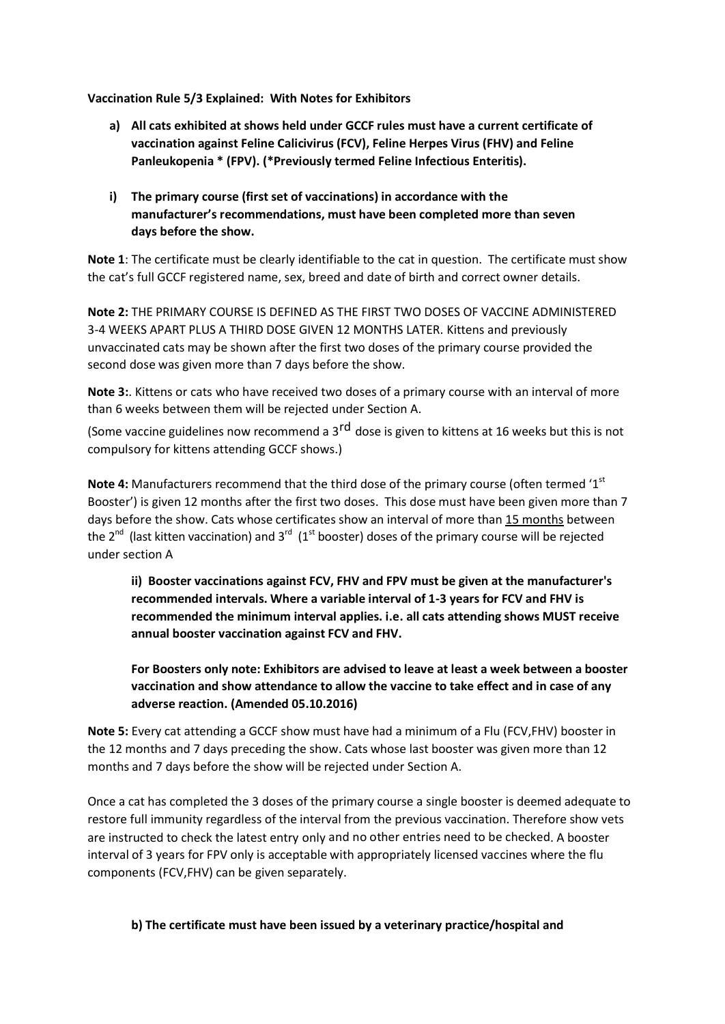**Vaccination Rule 5/3 Explained: With Notes for Exhibitors**

- **a) All cats exhibited at shows held under GCCF rules must have a current certificate of vaccination against Feline Calicivirus (FCV), Feline Herpes Virus (FHV) and Feline Panleukopenia \* (FPV). (\*Previously termed Feline Infectious Enteritis).**
- **i) The primary course (first set of vaccinations) in accordance with the manufacturer's recommendations, must have been completed more than seven days before the show.**

**Note 1**: The certificate must be clearly identifiable to the cat in question. The certificate must show the cat's full GCCF registered name, sex, breed and date of birth and correct owner details.

**Note 2:** THE PRIMARY COURSE IS DEFINED AS THE FIRST TWO DOSES OF VACCINE ADMINISTERED 3-4 WEEKS APART PLUS A THIRD DOSE GIVEN 12 MONTHS LATER. Kittens and previously unvaccinated cats may be shown after the first two doses of the primary course provided the second dose was given more than 7 days before the show.

**Note 3:**. Kittens or cats who have received two doses of a primary course with an interval of more than 6 weeks between them will be rejected under Section A.

(Some vaccine guidelines now recommend a 3<sup>rd</sup> dose is given to kittens at 16 weeks but this is not compulsory for kittens attending GCCF shows.)

**Note 4:** Manufacturers recommend that the third dose of the primary course (often termed '1<sup>st</sup> Booster') is given 12 months after the first two doses. This dose must have been given more than 7 days before the show. Cats whose certificates show an interval of more than 15 months between the 2<sup>nd</sup> (last kitten vaccination) and 3<sup>rd</sup> (1<sup>st</sup> booster) doses of the primary course will be rejected under section A

**ii) Booster vaccinations against FCV, FHV and FPV must be given at the manufacturer's recommended intervals. Where a variable interval of 1-3 years for FCV and FHV is recommended the minimum interval applies. i.e. all cats attending shows MUST receive annual booster vaccination against FCV and FHV.**

**For Boosters only note: Exhibitors are advised to leave at least a week between a booster vaccination and show attendance to allow the vaccine to take effect and in case of any adverse reaction. (Amended 05.10.2016)**

**Note 5:** Every cat attending a GCCF show must have had a minimum of a Flu (FCV,FHV) booster in the 12 months and 7 days preceding the show. Cats whose last booster was given more than 12 months and 7 days before the show will be rejected under Section A.

Once a cat has completed the 3 doses of the primary course a single booster is deemed adequate to restore full immunity regardless of the interval from the previous vaccination. Therefore show vets are instructed to check the latest entry only and no other entries need to be checked. A booster interval of 3 years for FPV only is acceptable with appropriately licensed vaccines where the flu components (FCV,FHV) can be given separately.

**b) The certificate must have been issued by a veterinary practice/hospital and**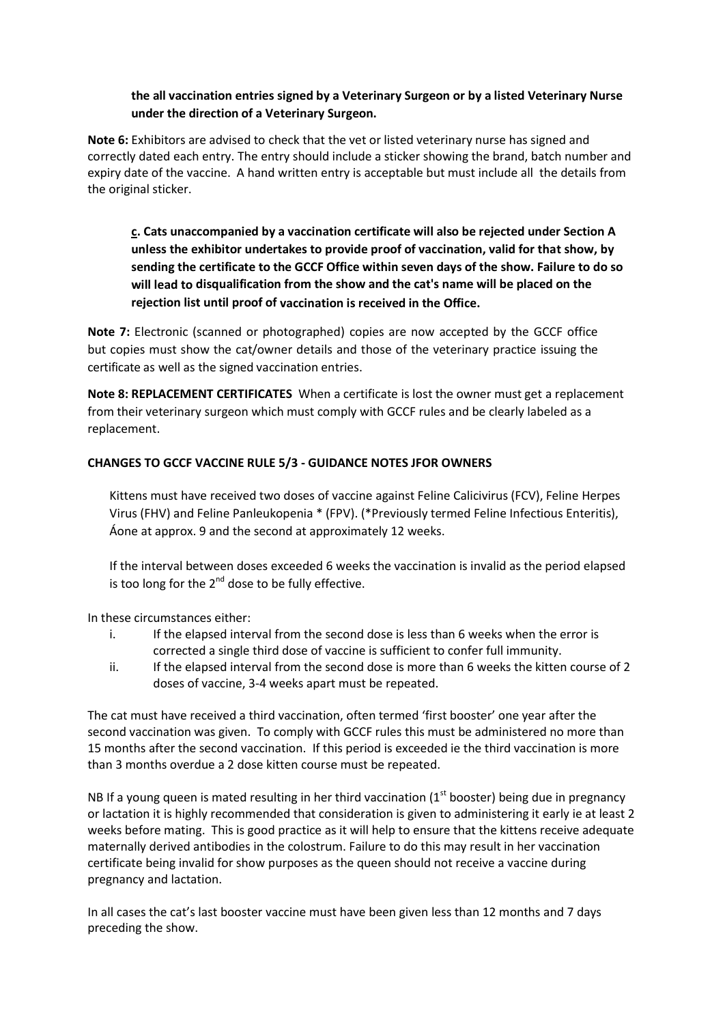## **the all vaccination entries signed by a Veterinary Surgeon or by a listed Veterinary Nurse under the direction of a Veterinary Surgeon.**

**Note 6:** Exhibitors are advised to check that the vet or listed veterinary nurse has signed and correctly dated each entry. The entry should include a sticker showing the brand, batch number and expiry date of the vaccine. A hand written entry is acceptable but must include all the details from the original sticker.

**c. Cats unaccompanied by a vaccination certificate will also be rejected under Section A unless the exhibitor undertakes to provide proof of vaccination, valid for that show, by sending the certificate to the GCCF Office within seven days of the show. Failure to do so will lead to disqualification from the show and the cat's name will be placed on the rejection list until proof of vaccination is received in the Office.**

**Note 7:** Electronic (scanned or photographed) copies are now accepted by the GCCF office but copies must show the cat/owner details and those of the veterinary practice issuing the certificate as well as the signed vaccination entries.

**Note 8: REPLACEMENT CERTIFICATES** When a certificate is lost the owner must get a replacement from their veterinary surgeon which must comply with GCCF rules and be clearly labeled as a replacement.

## **CHANGES TO GCCF VACCINE RULE 5/3 - GUIDANCE NOTES JFOR OWNERS**

Kittens must have received two doses of vaccine against Feline Calicivirus (FCV), Feline Herpes Virus (FHV) and Feline Panleukopenia \* (FPV). (\*Previously termed Feline Infectious Enteritis), Áone at approx. 9 and the second at approximately 12 weeks.

If the interval between doses exceeded 6 weeks the vaccination is invalid as the period elapsed is too long for the  $2^{nd}$  dose to be fully effective.

In these circumstances either:

- i. If the elapsed interval from the second dose is less than 6 weeks when the error is corrected a single third dose of vaccine is sufficient to confer full immunity.
- ii. If the elapsed interval from the second dose is more than 6 weeks the kitten course of 2 doses of vaccine, 3-4 weeks apart must be repeated.

The cat must have received a third vaccination, often termed 'first booster' one year after the second vaccination was given. To comply with GCCF rules this must be administered no more than 15 months after the second vaccination. If this period is exceeded ie the third vaccination is more than 3 months overdue a 2 dose kitten course must be repeated.

NB If a young queen is mated resulting in her third vaccination ( $1<sup>st</sup>$  booster) being due in pregnancy or lactation it is highly recommended that consideration is given to administering it early ie at least 2 weeks before mating. This is good practice as it will help to ensure that the kittens receive adequate maternally derived antibodies in the colostrum. Failure to do this may result in her vaccination certificate being invalid for show purposes as the queen should not receive a vaccine during pregnancy and lactation.

In all cases the cat's last booster vaccine must have been given less than 12 months and 7 days preceding the show.